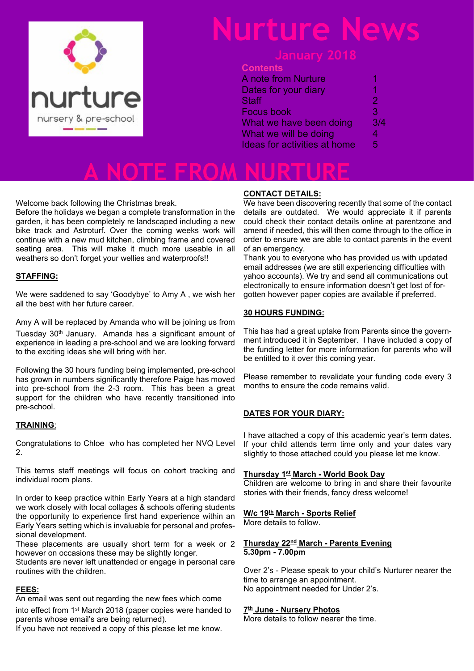

# **Nurture News**

### **January 2018**

### **Contents**

| <b>A</b> note from Nurture          | 1   |
|-------------------------------------|-----|
| Dates for your diary                | 1   |
| <b>Staff</b>                        | 2   |
| <b>Focus book</b>                   | З   |
| What we have been doing             | 3/4 |
| What we will be doing               | 4   |
| <b>Ideas for activities at home</b> | 5   |
|                                     |     |

**A NOTE FROM NURTURE**

Welcome back following the Christmas break.

Before the holidays we began a complete transformation in the garden, it has been completely re landscaped including a new bike track and Astroturf. Over the coming weeks work will continue with a new mud kitchen, climbing frame and covered seating area. This will make it much more useable in all weathers so don't forget your wellies and waterproofs!!

### **STAFFING:**

We were saddened to say 'Goodybye' to Amy A , we wish her all the best with her future career.

Amy A will be replaced by Amanda who will be joining us from Tuesday 30th January. Amanda has a significant amount of experience in leading a pre-school and we are looking forward to the exciting ideas she will bring with her.

Following the 30 hours funding being implemented, pre-school has grown in numbers significantly therefore Paige has moved into pre-school from the 2-3 room. This has been a great support for the children who have recently transitioned into pre-school.

### **TRAINING**:

Congratulations to Chloe who has completed her NVQ Level  $\mathcal{P}$ 

This terms staff meetings will focus on cohort tracking and individual room plans.

In order to keep practice within Early Years at a high standard we work closely with local collages & schools offering students the opportunity to experience first hand experience within an Early Years setting which is invaluable for personal and professional development.

These placements are usually short term for a week or 2 however on occasions these may be slightly longer.

Students are never left unattended or engage in personal care routines with the children.

### **FEES:**

An email was sent out regarding the new fees which come into effect from 1st March 2018 (paper copies were handed to parents whose email's are being returned).

If you have not received a copy of this please let me know.

### **CONTACT DETAILS:**

We have been discovering recently that some of the contact details are outdated. We would appreciate it if parents could check their contact details online at parentzone and amend if needed, this will then come through to the office in order to ensure we are able to contact parents in the event of an emergency.

Thank you to everyone who has provided us with updated email addresses (we are still experiencing difficulties with yahoo accounts). We try and send all communications out electronically to ensure information doesn't get lost of forgotten however paper copies are available if preferred.

### **30 HOURS FUNDING:**

This has had a great uptake from Parents since the government introduced it in September. I have included a copy of the funding letter for more information for parents who will be entitled to it over this coming year.

Please remember to revalidate your funding code every 3 months to ensure the code remains valid.

### **DATES FOR YOUR DIARY:**

I have attached a copy of this academic year's term dates. If your child attends term time only and your dates vary slightly to those attached could you please let me know.

### **Thursday 1st March - World Book Day**

Children are welcome to bring in and share their favourite stories with their friends, fancy dress welcome!

### **W/c 19th March - Sports Relief**

More details to follow.

#### **Thursday 22nd March - Parents Evening 5.30pm - 7.00pm**

Over 2's - Please speak to your child's Nurturer nearer the time to arrange an appointment. No appointment needed for Under 2's.

#### **7 th June - Nursery Photos**

More details to follow nearer the time.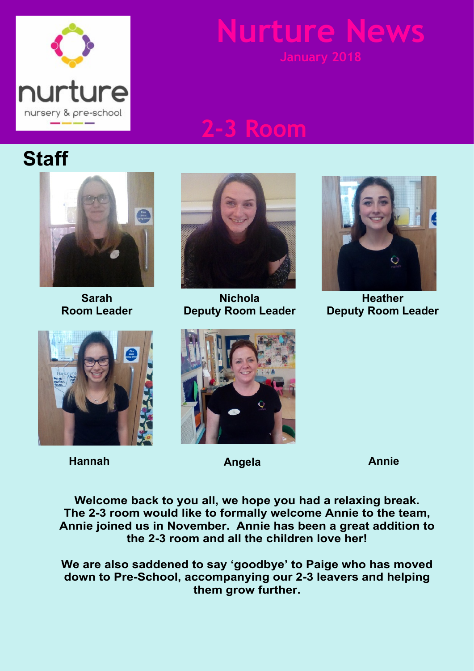

# **Mure**

## **2-3 Room**

## **Staff**



**Sarah Room Leader**



**Hannah Angela Annie**



**Nichola Deputy Room Leader**



**Heather Deputy Room Leader**



**Welcome back to you all, we hope you had a relaxing break. The 2-3 room would like to formally welcome Annie to the team, Annie joined us in November. Annie has been a great addition to the 2-3 room and all the children love her!**

**We are also saddened to say 'goodbye' to Paige who has moved down to Pre-School, accompanying our 2-3 leavers and helping them grow further.**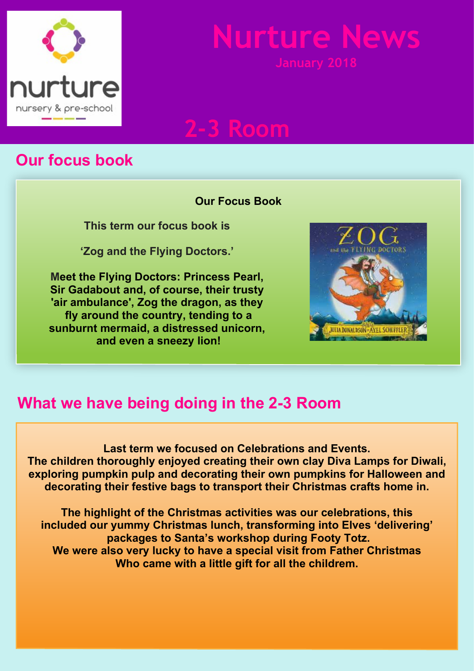

# **Nurture News**

**2-3 Room**

## **Our focus book**

### **Our Focus Book**

**This term our focus book is**

**'Zog and the Flying Doctors.'**

**Meet the Flying Doctors: Princess Pearl, Sir Gadabout and, of course, their trusty 'air ambulance', Zog the dragon, as they fly around the country, tending to a sunburnt mermaid, a distressed unicorn, and even a sneezy lion!**



## **What we have being doing in the 2-3 Room**

**Last term we focused on Celebrations and Events. The children thoroughly enjoyed creating their own clay Diva Lamps for Diwali, exploring pumpkin pulp and decorating their own pumpkins for Halloween and decorating their festive bags to transport their Christmas crafts home in.**

**The highlight of the Christmas activities was our celebrations, this included our yummy Christmas lunch, transforming into Elves 'delivering' packages to Santa's workshop during Footy Totz. We were also very lucky to have a special visit from Father Christmas Who came with a little gift for all the childrem.**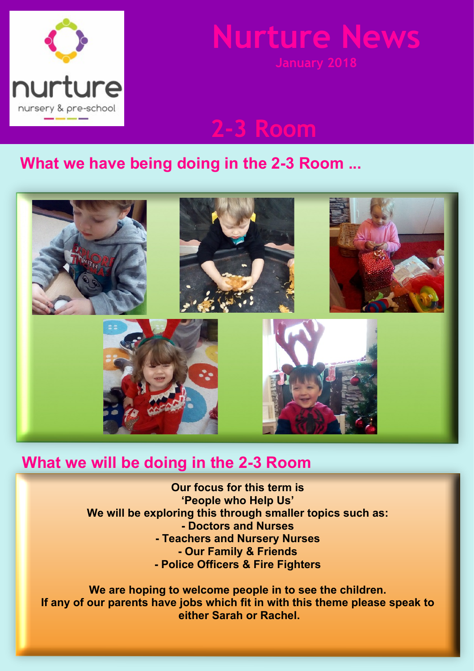

# **Nurture News**

**2-3 Room**

### **What we have being doing in the 2-3 Room ...**



### **What we will be doing in the 2-3 Room**

**Our focus for this term is 'People who Help Us' We will be exploring this through smaller topics such as: - Doctors and Nurses - Teachers and Nursery Nurses - Our Family & Friends - Police Officers & Fire Fighters**

**We are hoping to welcome people in to see the children. If any of our parents have jobs which fit in with this theme please speak to either Sarah or Rachel.**